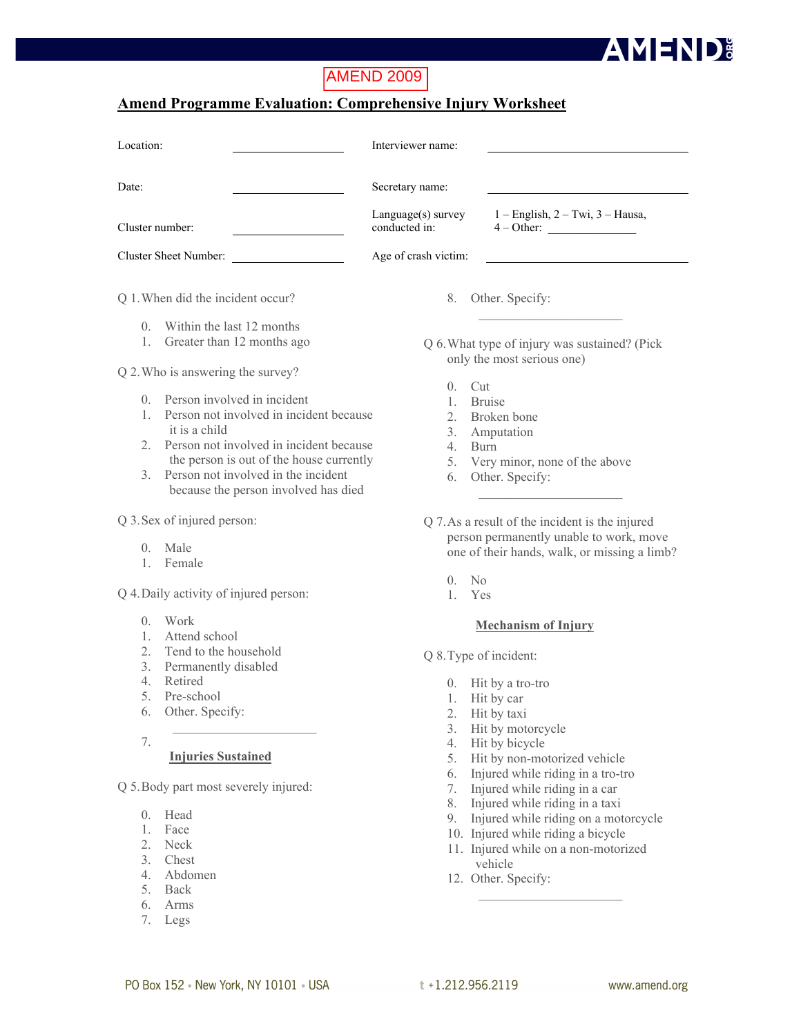# AMEND 2009

### **Amend Programme Evaluation: Comprehensive Injury Worksheet**

| Location:                                                                                                                                                                                                                                                                                                                    | Interviewer name:                                                                                                                                                                   |
|------------------------------------------------------------------------------------------------------------------------------------------------------------------------------------------------------------------------------------------------------------------------------------------------------------------------------|-------------------------------------------------------------------------------------------------------------------------------------------------------------------------------------|
| Date:                                                                                                                                                                                                                                                                                                                        | Secretary name:                                                                                                                                                                     |
| Cluster number:                                                                                                                                                                                                                                                                                                              | Language(s) survey<br>$1 -$ English, $2 -$ Twi, $3 -$ Hausa,<br>conducted in:<br>$4-Other:$                                                                                         |
| Cluster Sheet Number:                                                                                                                                                                                                                                                                                                        | Age of crash victim:                                                                                                                                                                |
| Q 1. When did the incident occur?                                                                                                                                                                                                                                                                                            | Other. Specify:<br>8.                                                                                                                                                               |
| Within the last 12 months<br>$\Omega$<br>Greater than 12 months ago<br>1.                                                                                                                                                                                                                                                    | Q 6. What type of injury was sustained? (Pick<br>only the most serious one)                                                                                                         |
| Q 2. Who is answering the survey?                                                                                                                                                                                                                                                                                            |                                                                                                                                                                                     |
| Person involved in incident<br>$\Omega$<br>Person not involved in incident because<br>$\mathbf{1}$<br>it is a child<br>Person not involved in incident because<br>$\overline{2}$<br>the person is out of the house currently<br>Person not involved in the incident<br>$\mathcal{E}$<br>because the person involved has died | Cut<br>$\Omega$<br><b>Bruise</b><br>$\mathbf{1}$<br>Broken bone<br>$2_{-}$<br>Amputation<br>3.<br>4.<br><b>Burn</b><br>Very minor, none of the above<br>5.<br>Other. Specify:<br>6. |
| Q 3. Sex of injured person:                                                                                                                                                                                                                                                                                                  | Q 7. As a result of the incident is the injured                                                                                                                                     |
| Male<br>$\overline{0}$ .<br>Female<br>$\mathbb{1}$ .                                                                                                                                                                                                                                                                         | person permanently unable to work, move<br>one of their hands, walk, or missing a limb?                                                                                             |
| Q 4. Daily activity of injured person:                                                                                                                                                                                                                                                                                       | N <sub>0</sub><br>0<br>Yes<br>$\mathbf{1}$                                                                                                                                          |
| Work<br>$\Omega$ .<br>Attended and and                                                                                                                                                                                                                                                                                       | <b>Mechanism of Injury</b>                                                                                                                                                          |

- 1. Attend school
- 2. Tend to the household
- 3. Permanently disabled
- 4. Retired
- 5. Pre-school
- 6. Other. Specify:
- 7.

### **Injuries Sustained**

Q 5.Body part most severely injured:

- 0. Head
- 1. Face
- 2. Neck
- 3. Chest
- 4. Abdomen
- 5. Back
- 6. Arms
- 7. Legs
- Q 8.Type of incident:
	- 0. Hit by a tro-tro
	- 1. Hit by car
	- 2. Hit by taxi
	- 3. Hit by motorcycle
	- 4. Hit by bicycle
	- 5. Hit by non-motorized vehicle
	- 6. Injured while riding in a tro-tro
	- 7. Injured while riding in a car
	- 8. Injured while riding in a taxi
	- 9. Injured while riding on a motorcycle
	- 10. Injured while riding a bicycle
	- 11. Injured while on a non-motorized vehicle

 $\mathcal{L}_\text{max}$ 

12. Other. Specify:

**AMEND:**